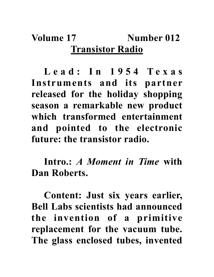## **Volume 17** Number 012 **Transistor Radio**

L e a d : I n 1 9 5 4 T e x a s **Instruments and its partner released for the holiday shopping season a remarkable new product which transformed entertainment and pointed to the electronic future: the transistor radio.**

**Intro.:** *A Moment in Time* **with Dan Roberts.**

**Content: Just six years earlier, Bell Labs scientists had announced the invention of a primitive replacement for the vacuum tube. The glass enclosed tubes, invented**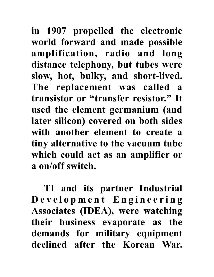**in 1907 propelled the electronic world forward and made possible amplification, radio and long distance telephony, but tubes were slow, hot, bulky, and short-lived. The replacement was called a transistor or "transfer resistor." It used the element germanium (and later silicon) covered on both sides with another element to create a tiny alternative to the vacuum tube which could act as an amplifier or a on/off switch.** 

**TI and its partner Industrial D e v e l o p m e n t E n g i n e e r i n g Associates (IDEA), were watching their business evaporate as the demands for military equipment declined after the Korean War.**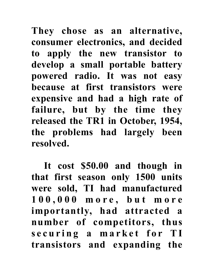**They chose as an alternative, consumer electronics, and decided to apply the new transistor to develop a small portable battery powered radio. It was not easy because at first transistors were expensive and had a high rate of failure, but by the time they released the TR1 in October, 1954, the problems had largely been resolved.** 

**It cost \$50.00 and though in that first season only 1500 units were sold, TI had manufactured 1 0 0 , 0 0 0 m o r e , b u t m o r e importantly, had attracted a number of competitors, thus**  s e curing a market for TI **transistors and expanding the**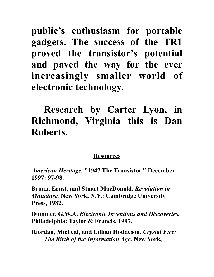**public's enthusiasm for portable gadgets. The success of the TR1 proved the transistor's potential and paved the way for the ever increasingly smaller world of electronic technology.**

## **Research by Carter Lyon, in Richmond, Virginia this is Dan Roberts.**

## **Resources**

*American Heritage.* **"1947 The Transistor." December 1997: 97-98.**

**Braun, Ernst, and Stuart MacDonald.** *Revolution in Miniature.* **New York, N.Y.: Cambridge University Press, 1982.**

**Dummer, G.W.A.** *Electronic Inventions and Discoveries.* **Philadelphia: Taylor & Francis, 1997.**

**Riordan, Micheal, and Lillian Hoddeson.** *Crystal Fire: The Birth of the Information Age.* **New York,**